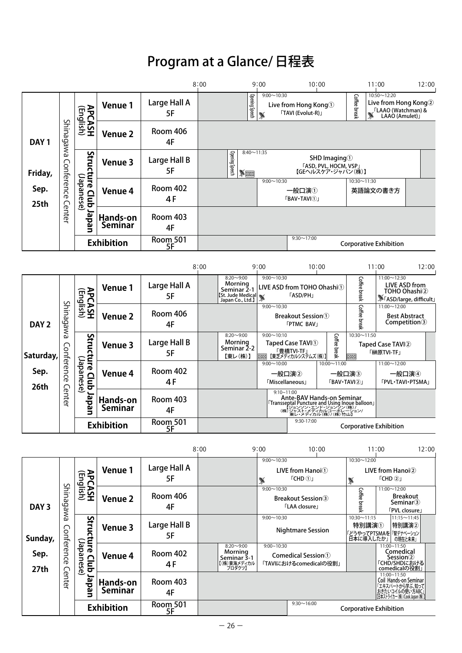## Program at a Glance/ 日程表

|                                                         |               |                                                    |                            |                        | 8:00                                                                               | 9:00                          | 10:00                                                                                                                                                |                                              | 11:00                                                                                                     | 12:00 |
|---------------------------------------------------------|---------------|----------------------------------------------------|----------------------------|------------------------|------------------------------------------------------------------------------------|-------------------------------|------------------------------------------------------------------------------------------------------------------------------------------------------|----------------------------------------------|-----------------------------------------------------------------------------------------------------------|-------|
| DAY <sub>1</sub><br>Friday,<br>Sep.<br>25 <sub>th</sub> |               | <b>APCASH</b><br>(English)                         | <b>Venue 1</b>             | Large Hall A<br>5F     | l 응<br>Speech                                                                      | $9:00 \sim 10:30$             | Live from Hong Kong ①<br><b>TAVI</b> (Evolut-R)                                                                                                      | <b>Coffee</b><br>break                       | 10:50~12:20<br>Live from Hong Kong②<br>∫ LAAO (Watchman) &<br>∫ LAAO (Amulet)」                            |       |
|                                                         | Shinagawa     |                                                    | <b>Venue 2</b>             | Room 406<br>4F         |                                                                                    |                               |                                                                                                                                                      |                                              |                                                                                                           |       |
|                                                         |               | n<br>2<br>$\Omega$                                 | <b>Venue 3</b>             | Large Hall B<br>5F     | $8:40 \sim 11:35$<br>유<br>$\sqrt{2}$                                               |                               | SHD Imaging <sup>1</sup><br>「ASD, PVL, HOCM, VSP」<br>【GEヘルスケア・ジャパン(株)】                                                                               |                                              |                                                                                                           |       |
|                                                         | Conference    | :ture Clup<br>:ture Clup<br>Club                   | <b>Venue 4</b>             | <b>Room 402</b><br>4 F |                                                                                    | $9:00 \sim 10:30$             | 一般口演①<br><b>FBAV</b> ·TAVI①」                                                                                                                         | $10:30 \sim 11:30$                           | 英語論文の書き方                                                                                                  |       |
|                                                         | Cente         | der<br>ച                                           | Hands-on<br><b>Seminar</b> | <b>Room 403</b><br>4F  |                                                                                    |                               |                                                                                                                                                      |                                              |                                                                                                           |       |
|                                                         |               |                                                    | <b>Exhibition</b>          | Room 501<br>5F         |                                                                                    |                               | $9:30 \sim 17:00$                                                                                                                                    |                                              | <b>Corporative Exhibition</b>                                                                             |       |
|                                                         |               |                                                    |                            |                        |                                                                                    |                               |                                                                                                                                                      |                                              |                                                                                                           |       |
|                                                         |               |                                                    |                            |                        | 8:00                                                                               | 9:00                          | 10:00                                                                                                                                                |                                              | 11:00                                                                                                     | 12:00 |
| DAY <sub>2</sub>                                        |               |                                                    | Venue 1                    | Large Hall A<br>5F     | $8:20 \sim 9:00$<br>Morning<br>Seminar 2-1<br>St. Jude Medical<br>Japan Co., Ltd.) | $9:00 \sim 10:30$             | LIVE ASD from TOHO Ohashi <sup>1</sup><br><b><i>「ASD/PH」</i></b>                                                                                     | $\supset$<br>break                           | 11:00~12:30<br><b>LIVE ASD from</b><br>TOHO Ohashi2<br>FASD/large, difficult」                             |       |
|                                                         | Shinagawa     | <b>APCASH</b><br>(English)                         | <b>Venue 2</b>             | Room 406<br>4F         |                                                                                    | $9:00 \sim 10:30$             | <b>Breakout Session</b> <sup>1</sup><br><b>FPTMC BAV」</b>                                                                                            | ξă<br>கி<br>ਤੁ                               | $11:00 \sim 12:00$<br><b>Best Abstract</b><br>Competition <sup>3</sup>                                    |       |
|                                                         | Conference    | ပ္ပ<br>truc                                        | <b>Venue 3</b>             | Large Hall B<br>5F     | $8:20 - 9:00$<br>Morning<br>Seminar 2-2<br>【東レ(株)】                                 | $9:00 \sim 10:10$             | Taped Case TAVI <sup>(1)</sup><br>「豊橋TVI-TF」<br>【東芝メディカルシステムズ(株)                                                                                     | $10:30 \sim 11:50$<br>S.<br>lfee break<br>oo | Taped Case TAVI2<br>「榊原TVI-TF」                                                                            |       |
| Saturday                                                |               | <b>Conce Club J</b><br>Clure Club J<br>മ<br>ᄒ<br>Ñ |                            |                        |                                                                                    | $9:00 \sim 10:00$             | $10:00 \sim 11:00$                                                                                                                                   |                                              | $11:00 \sim 12:00$                                                                                        |       |
| Sep.<br><b>26th</b>                                     |               |                                                    | <b>Venue 4</b>             | <b>Room 402</b><br>4 F |                                                                                    | 一般口演2<br><b>Miscellaneous</b> |                                                                                                                                                      | 一般口演3<br><b>FBAV</b> ·TAVI2J                 | 一般口演4<br><b>「PVL・TAVI・PTSMA」</b>                                                                          |       |
|                                                         | <b>Center</b> |                                                    | Hands-on<br><b>Seminar</b> | <b>Room 403</b><br>4F  |                                                                                    | $9:10 - 11:00$                | "<br>Transseptal Puncture and Using Inoue balloon」<br>【Transseptal Puncture and Using Inoue balloon」<br>(株)ジョンソン・エンド・ジョン・グレーン<br>東レ・メディカル(株)/(株) 竹山】 |                                              |                                                                                                           |       |
|                                                         |               | <b>Exhibition</b>                                  |                            | Room 501<br>5F         |                                                                                    |                               | 9:30-17:00                                                                                                                                           |                                              | <b>Corporative Exhibition</b>                                                                             |       |
|                                                         |               |                                                    |                            |                        |                                                                                    |                               |                                                                                                                                                      |                                              |                                                                                                           |       |
|                                                         |               |                                                    |                            |                        | 8:00                                                                               | 9:00                          | 10:00                                                                                                                                                |                                              | 11:00                                                                                                     | 12:00 |
| DAY <sub>3</sub><br>Sunday,<br>Sep.<br>27th             |               |                                                    | Venue 1                    | Large Hall A<br>5F     |                                                                                    | $9:00 \sim 10:30$             | LIVE from Hanoi <sup>1</sup><br>$\Gamma$ CHD $\Omega$ J                                                                                              | $10:30 \sim 12:00$<br>$\mathbb{Z}$           | LIVE from Hanoi2<br>$\Gamma$ CHD $\Omega$ J                                                               |       |
|                                                         | Shinagawa     | <b>APCASH</b><br>(English)                         | <b>Venue 2</b>             | <b>Room 406</b><br>4F  |                                                                                    | $9:00 \sim 10:30$             | <b>Breakout Session</b> <sup>3</sup><br><b>LAA</b> closure」                                                                                          | ς<br><b>ffee break</b>                       | $11:00 \sim 12:00$<br><b>Breakout</b><br>Seminar <sup>3</sup><br><b>FVL</b> closure」                      |       |
|                                                         |               |                                                    | <b>Venue 3</b>             | Large Hall B<br>5F     |                                                                                    | $9:00 \sim 10:30$             | <b>Nightmare Session</b>                                                                                                                             | $10:30 \sim 11:15$                           | $11:15 \sim 11:45$<br>特別講演2<br>特別講演①<br> 「どうやってPTSMAを <sup> </sup> 「腎デナベーション<br>  日本に導入したか」  の現在と未来」      |       |
|                                                         | Conference    | Structure Club Ja<br>Structure Club                | <b>Venue 4</b>             | <b>Room 402</b><br>4F  | $8:20 - 9:00$<br>Morning<br>Seminar 3-1<br>【(株)東海メディカル<br>  プロダクツ】                 | $9:00 - 10:30$                | Comedical Session <sup>(1)</sup><br>「TAVIにおけるcomedicalの役割」                                                                                           |                                              | 11:00~11:50<br>Comedical<br>Session②<br>「CHD/SHDにおける<br>comedicalの役割」                                     |       |
|                                                         | Center        | Japa                                               | Hands-on<br>Seminar        | <b>Room 403</b><br>4F  |                                                                                    |                               |                                                                                                                                                      |                                              | - 11:00~11:50<br>Coil Hands-on Seminar<br>「エキスパートから学ぶ、知って<br>おきたいコイルの使い方ABC」<br>旧本ストライカー(横)/CookJapan(横)] |       |
|                                                         |               |                                                    | <b>Exhibition</b>          | Room 501<br>5F         |                                                                                    |                               | $9:30 \sim 16:00$                                                                                                                                    |                                              | <b>Corporative Exhibition</b>                                                                             |       |